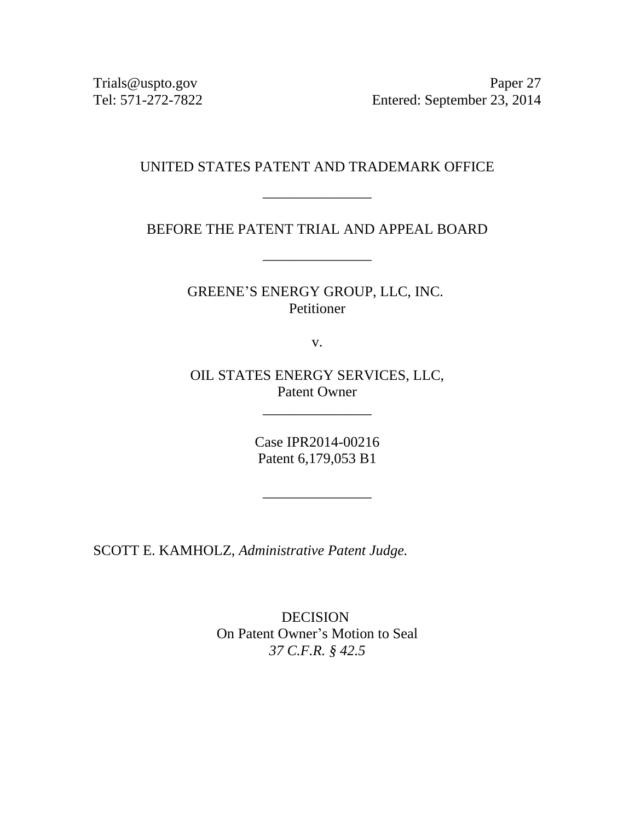Trials@uspto.gov Paper 27 Tel: 571-272-7822 Entered: September 23, 2014

## UNITED STATES PATENT AND TRADEMARK OFFICE

\_\_\_\_\_\_\_\_\_\_\_\_\_\_\_

BEFORE THE PATENT TRIAL AND APPEAL BOARD

\_\_\_\_\_\_\_\_\_\_\_\_\_\_\_

GREENE'S ENERGY GROUP, LLC, INC. Petitioner

v.

OIL STATES ENERGY SERVICES, LLC, Patent Owner

\_\_\_\_\_\_\_\_\_\_\_\_\_\_\_

Case IPR2014-00216 Patent 6,179,053 B1

\_\_\_\_\_\_\_\_\_\_\_\_\_\_\_

SCOTT E. KAMHOLZ, *Administrative Patent Judge.*

DECISION On Patent Owner's Motion to Seal *37 C.F.R. § 42.5*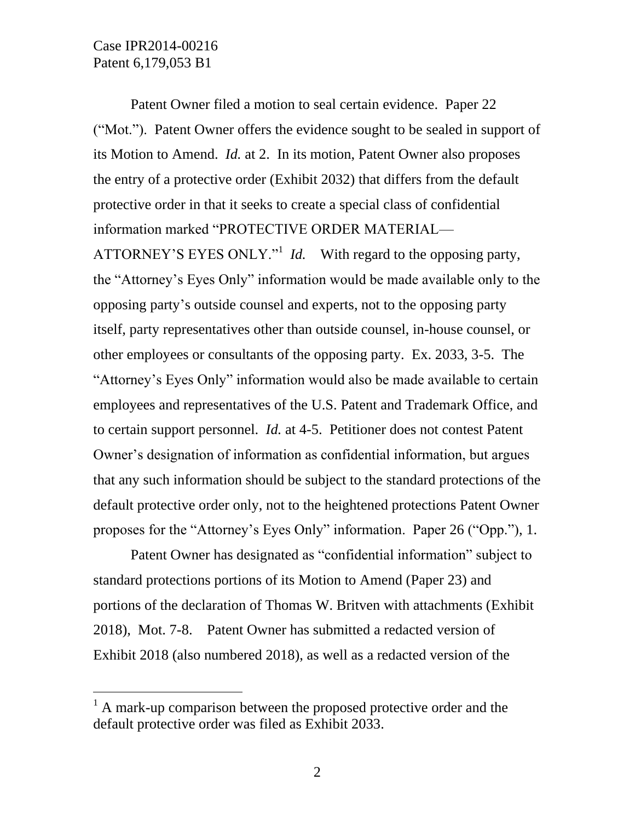$\overline{a}$ 

Patent Owner filed a motion to seal certain evidence. Paper 22 ("Mot."). Patent Owner offers the evidence sought to be sealed in support of its Motion to Amend. *Id.* at 2. In its motion, Patent Owner also proposes the entry of a protective order (Exhibit 2032) that differs from the default protective order in that it seeks to create a special class of confidential information marked "PROTECTIVE ORDER MATERIAL—

ATTORNEY'S EYES ONLY."<sup>1</sup> *Id.* With regard to the opposing party, the "Attorney's Eyes Only" information would be made available only to the opposing party's outside counsel and experts, not to the opposing party itself, party representatives other than outside counsel, in-house counsel, or other employees or consultants of the opposing party. Ex. 2033, 3-5. The "Attorney's Eyes Only" information would also be made available to certain employees and representatives of the U.S. Patent and Trademark Office, and to certain support personnel. *Id.* at 4-5. Petitioner does not contest Patent Owner's designation of information as confidential information, but argues that any such information should be subject to the standard protections of the default protective order only, not to the heightened protections Patent Owner proposes for the "Attorney's Eyes Only" information. Paper 26 ("Opp."), 1.

Patent Owner has designated as "confidential information" subject to standard protections portions of its Motion to Amend (Paper 23) and portions of the declaration of Thomas W. Britven with attachments (Exhibit 2018), Mot. 7-8. Patent Owner has submitted a redacted version of Exhibit 2018 (also numbered 2018), as well as a redacted version of the

 $<sup>1</sup>$  A mark-up comparison between the proposed protective order and the</sup> default protective order was filed as Exhibit 2033.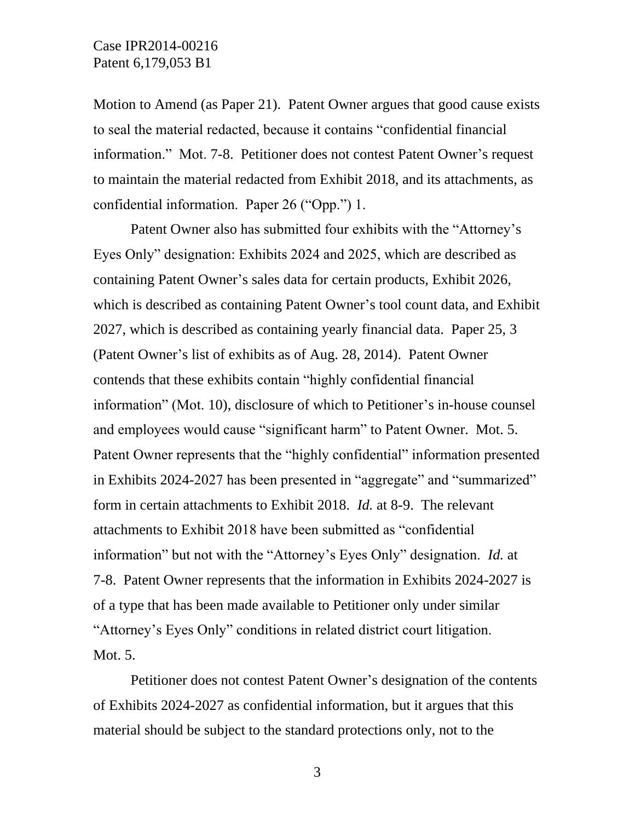Motion to Amend (as Paper 21). Patent Owner argues that good cause exists to seal the material redacted, because it contains "confidential financial information." Mot. 7-8. Petitioner does not contest Patent Owner's request to maintain the material redacted from Exhibit 2018, and its attachments, as confidential information. Paper 26 ("Opp.") 1.

Patent Owner also has submitted four exhibits with the "Attorney's Eyes Only" designation: Exhibits 2024 and 2025, which are described as containing Patent Owner's sales data for certain products, Exhibit 2026, which is described as containing Patent Owner's tool count data, and Exhibit 2027, which is described as containing yearly financial data. Paper 25, 3 (Patent Owner's list of exhibits as of Aug. 28, 2014). Patent Owner contends that these exhibits contain "highly confidential financial information" (Mot. 10), disclosure of which to Petitioner's in-house counsel and employees would cause "significant harm" to Patent Owner. Mot. 5. Patent Owner represents that the "highly confidential" information presented in Exhibits 2024-2027 has been presented in "aggregate" and "summarized" form in certain attachments to Exhibit 2018. *Id.* at 8-9. The relevant attachments to Exhibit 2018 have been submitted as "confidential information" but not with the "Attorney's Eyes Only" designation. *Id.* at 7-8. Patent Owner represents that the information in Exhibits 2024-2027 is of a type that has been made available to Petitioner only under similar "Attorney's Eyes Only" conditions in related district court litigation. Mot. 5.

Petitioner does not contest Patent Owner's designation of the contents of Exhibits 2024-2027 as confidential information, but it argues that this material should be subject to the standard protections only, not to the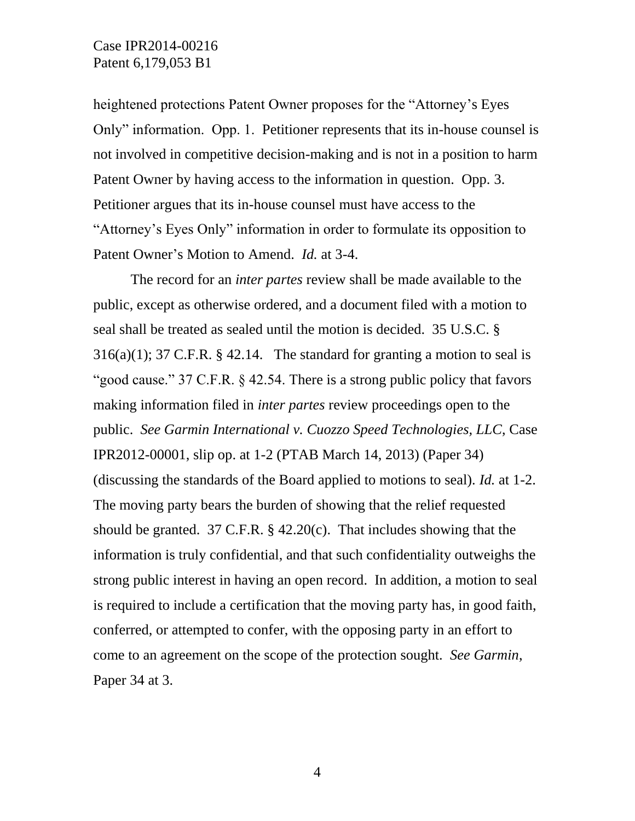## Case IPR2014-00216 Patent 6,179,053 B1

heightened protections Patent Owner proposes for the "Attorney's Eyes Only" information. Opp. 1. Petitioner represents that its in-house counsel is not involved in competitive decision-making and is not in a position to harm Patent Owner by having access to the information in question. Opp. 3. Petitioner argues that its in-house counsel must have access to the "Attorney's Eyes Only" information in order to formulate its opposition to Patent Owner's Motion to Amend. *Id.* at 3-4.

The record for an *inter partes* review shall be made available to the public, except as otherwise ordered, and a document filed with a motion to seal shall be treated as sealed until the motion is decided. 35 U.S.C. §  $316(a)(1)$ ; 37 C.F.R. § 42.14. The standard for granting a motion to seal is "good cause." 37 C.F.R. § 42.54. There is a strong public policy that favors making information filed in *inter partes* review proceedings open to the public. *See Garmin International v. Cuozzo Speed Technologies, LLC*, Case IPR2012-00001, slip op. at 1-2 (PTAB March 14, 2013) (Paper 34) (discussing the standards of the Board applied to motions to seal). *Id.* at 1-2. The moving party bears the burden of showing that the relief requested should be granted. 37 C.F.R. § 42.20(c). That includes showing that the information is truly confidential, and that such confidentiality outweighs the strong public interest in having an open record. In addition, a motion to seal is required to include a certification that the moving party has, in good faith, conferred, or attempted to confer, with the opposing party in an effort to come to an agreement on the scope of the protection sought. *See Garmin*, Paper 34 at 3.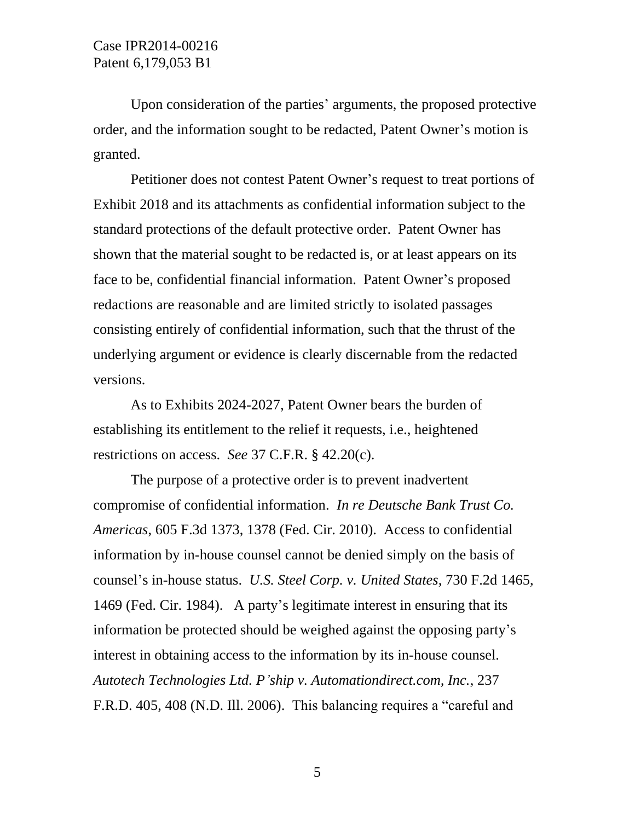Upon consideration of the parties' arguments, the proposed protective order, and the information sought to be redacted, Patent Owner's motion is granted.

Petitioner does not contest Patent Owner's request to treat portions of Exhibit 2018 and its attachments as confidential information subject to the standard protections of the default protective order. Patent Owner has shown that the material sought to be redacted is, or at least appears on its face to be, confidential financial information. Patent Owner's proposed redactions are reasonable and are limited strictly to isolated passages consisting entirely of confidential information, such that the thrust of the underlying argument or evidence is clearly discernable from the redacted versions.

As to Exhibits 2024-2027, Patent Owner bears the burden of establishing its entitlement to the relief it requests, i.e., heightened restrictions on access. *See* 37 C.F.R. § 42.20(c).

The purpose of a protective order is to prevent inadvertent compromise of confidential information. *In re Deutsche Bank Trust Co. Americas*, 605 F.3d 1373, 1378 (Fed. Cir. 2010). Access to confidential information by in-house counsel cannot be denied simply on the basis of counsel's in-house status. *U.S. Steel Corp. v. United States*, 730 F.2d 1465, 1469 (Fed. Cir. 1984). A party's legitimate interest in ensuring that its information be protected should be weighed against the opposing party's interest in obtaining access to the information by its in-house counsel. *Autotech Technologies Ltd. P'ship v. Automationdirect.com, Inc.*, 237 F.R.D. 405, 408 (N.D. Ill. 2006). This balancing requires a "careful and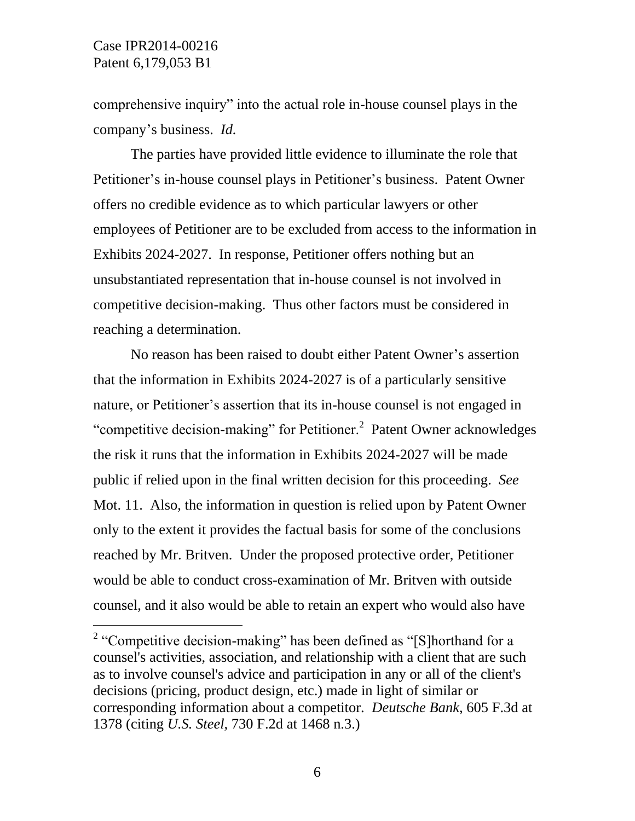$\overline{a}$ 

comprehensive inquiry" into the actual role in-house counsel plays in the company's business. *Id.*

The parties have provided little evidence to illuminate the role that Petitioner's in-house counsel plays in Petitioner's business. Patent Owner offers no credible evidence as to which particular lawyers or other employees of Petitioner are to be excluded from access to the information in Exhibits 2024-2027. In response, Petitioner offers nothing but an unsubstantiated representation that in-house counsel is not involved in competitive decision-making. Thus other factors must be considered in reaching a determination.

No reason has been raised to doubt either Patent Owner's assertion that the information in Exhibits 2024-2027 is of a particularly sensitive nature, or Petitioner's assertion that its in-house counsel is not engaged in "competitive decision-making" for Petitioner.<sup>2</sup> Patent Owner acknowledges the risk it runs that the information in Exhibits 2024-2027 will be made public if relied upon in the final written decision for this proceeding. *See*  Mot. 11. Also, the information in question is relied upon by Patent Owner only to the extent it provides the factual basis for some of the conclusions reached by Mr. Britven. Under the proposed protective order, Petitioner would be able to conduct cross-examination of Mr. Britven with outside counsel, and it also would be able to retain an expert who would also have

<sup>&</sup>lt;sup>2</sup> "Competitive decision-making" has been defined as "[S] horthand for a counsel's activities, association, and relationship with a client that are such as to involve counsel's advice and participation in any or all of the client's decisions (pricing, product design, etc.) made in light of similar or corresponding information about a competitor. *Deutsche Bank*, 605 F.3d at 1378 (citing *U.S. Steel*, 730 F.2d at 1468 n.3.)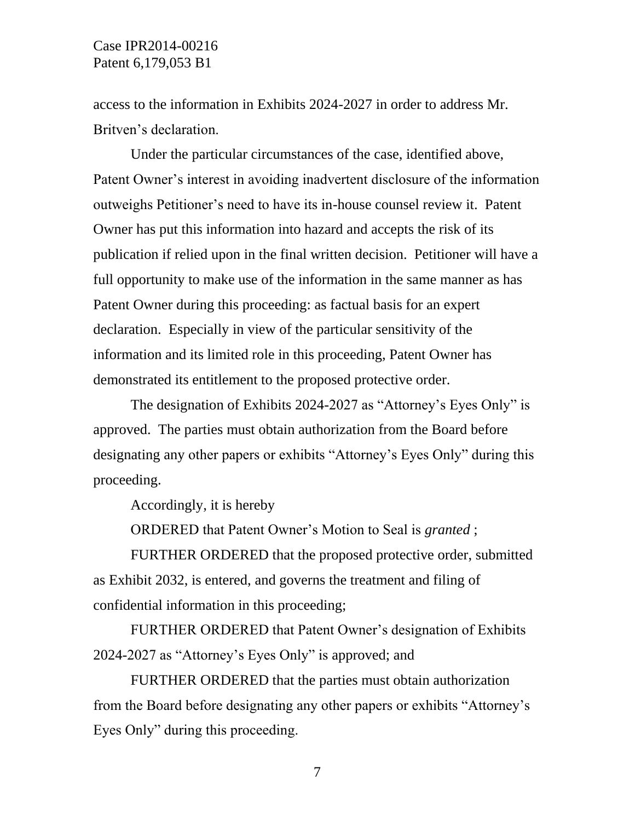access to the information in Exhibits 2024-2027 in order to address Mr. Britven's declaration.

Under the particular circumstances of the case, identified above, Patent Owner's interest in avoiding inadvertent disclosure of the information outweighs Petitioner's need to have its in-house counsel review it. Patent Owner has put this information into hazard and accepts the risk of its publication if relied upon in the final written decision. Petitioner will have a full opportunity to make use of the information in the same manner as has Patent Owner during this proceeding: as factual basis for an expert declaration. Especially in view of the particular sensitivity of the information and its limited role in this proceeding, Patent Owner has demonstrated its entitlement to the proposed protective order.

The designation of Exhibits 2024-2027 as "Attorney's Eyes Only" is approved. The parties must obtain authorization from the Board before designating any other papers or exhibits "Attorney's Eyes Only" during this proceeding.

Accordingly, it is hereby

ORDERED that Patent Owner's Motion to Seal is *granted* ;

FURTHER ORDERED that the proposed protective order, submitted as Exhibit 2032, is entered, and governs the treatment and filing of confidential information in this proceeding;

FURTHER ORDERED that Patent Owner's designation of Exhibits 2024-2027 as "Attorney's Eyes Only" is approved; and

FURTHER ORDERED that the parties must obtain authorization from the Board before designating any other papers or exhibits "Attorney's Eyes Only" during this proceeding.